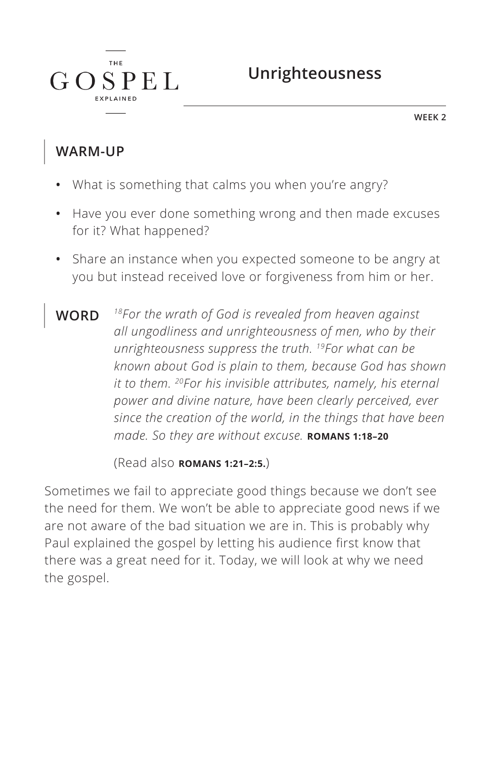**WEEK 2**

### **WARM-UP**

 $G$ 

T H F

 $SPEL$ 

- **•** What is something that calms you when you're angry?
- **•** Have you ever done something wrong and then made excuses for it? What happened?
- **•** Share an instance when you expected someone to be angry at you but instead received love or forgiveness from him or her.
- **WORD** *18For the wrath of God is revealed from heaven against all ungodliness and unrighteousness of men, who by their unrighteousness suppress the truth. 19For what can be known about God is plain to them, because God has shown it to them. 20For his invisible attributes, namely, his eternal power and divine nature, have been clearly perceived, ever since the creation of the world, in the things that have been made. So they are without excuse. ^***ROMANS 1:18–20**

(Read also **ROMANS 1:21-2:5.**)

Sometimes we fail to appreciate good things because we don't see the need for them. We won't be able to appreciate good news if we are not aware of the bad situation we are in. This is probably why Paul explained the gospel by letting his audience first know that there was a great need for it. Today, we will look at why we need the gospel.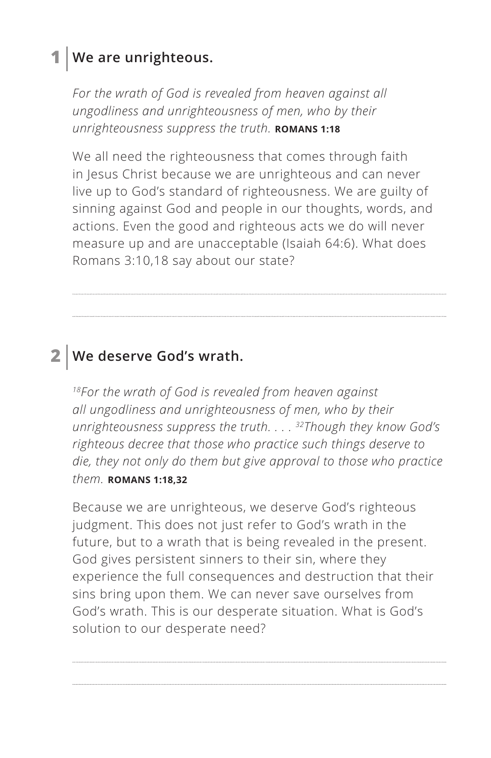## **1 We are unrighteous.**

For the wrath of God is revealed from heaven against all *ungodliness and unrighteousness of men, who by their unrighteousness suppress the truth.* **ROMANS 1:18** 

We all need the righteousness that comes through faith in Jesus Christ because we are unrighteous and can never live up to God's standard of righteousness. We are guilty of sinning against God and people in our thoughts, words, and actions. Even the good and righteous acts we do will never measure up and are unacceptable (Isaiah 64:6). What does Romans 3:10,18 say about our state?

### **2 We deserve God's wrath.**

*18For the wrath of God is revealed from heaven against all ungodliness and unrighteousness of men, who by their unrighteousness suppress the truth. . . . 32Though they know God's righteous decree that those who practice such things deserve to die, they not only do them but give approval to those who practice them. ^***ROMANS 1:18,32**

Because we are unrighteous, we deserve God's righteous judgment. This does not just refer to God's wrath in the future, but to a wrath that is being revealed in the present. God gives persistent sinners to their sin, where they experience the full consequences and destruction that their sins bring upon them. We can never save ourselves from God's wrath. This is our desperate situation. What is God's solution to our desperate need?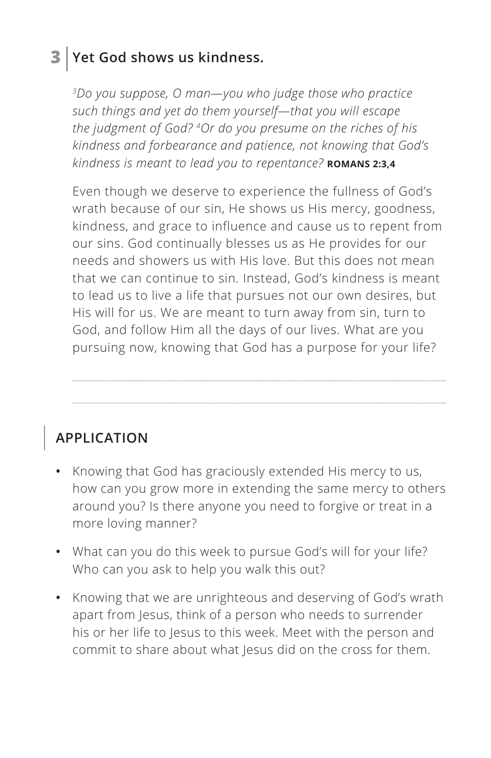## **3 Yet God shows us kindness.**

*3Do you suppose, O man—you who judge those who practice such things and yet do them yourself—that you will escape the judgment of God? 4Or do you presume on the riches of his kindness and forbearance and patience, not knowing that God's kindness is meant to lead you to repentance? ^***ROMANS 2:3,4**

Even though we deserve to experience the fullness of God's wrath because of our sin, He shows us His mercy, goodness, kindness, and grace to influence and cause us to repent from our sins. God continually blesses us as He provides for our needs and showers us with His love. But this does not mean that we can continue to sin. Instead, God's kindness is meant to lead us to live a life that pursues not our own desires, but His will for us. We are meant to turn away from sin, turn to God, and follow Him all the days of our lives. What are you pursuing now, knowing that God has a purpose for your life?

## **APPLICATION**

- **•** Knowing that God has graciously extended His mercy to us, how can you grow more in extending the same mercy to others around you? Is there anyone you need to forgive or treat in a more loving manner?
- **•** What can you do this week to pursue God's will for your life? Who can you ask to help you walk this out?
- **•** Knowing that we are unrighteous and deserving of God's wrath apart from Jesus, think of a person who needs to surrender his or her life to Jesus to this week. Meet with the person and commit to share about what Jesus did on the cross for them.